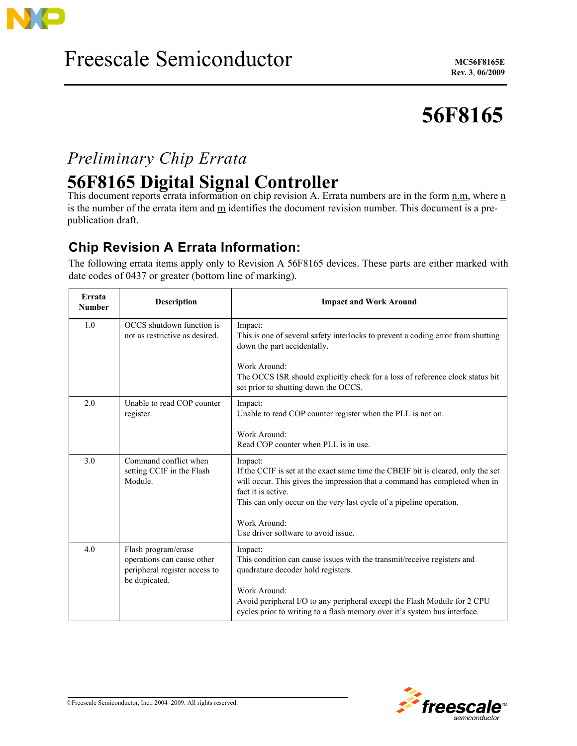

# **56F8165**

## *Preliminary Chip Errata*

## **56F8165 Digital Signal Controller**

This document reports errata information on chip revision A. Errata numbers are in the form n.m, where n is the number of the errata item and m identifies the document revision number. This document is a prepublication draft.

### **Chip Revision A Errata Information:**

The following errata items apply only to Revision A 56F8165 devices. These parts are either marked with date codes of 0437 or greater (bottom line of marking).

| Errata<br><b>Number</b> | <b>Description</b>                                                                                  | <b>Impact and Work Around</b>                                                                                                                                                                                                                                          |
|-------------------------|-----------------------------------------------------------------------------------------------------|------------------------------------------------------------------------------------------------------------------------------------------------------------------------------------------------------------------------------------------------------------------------|
| 1.0                     | OCCS shutdown function is<br>not as restrictive as desired.                                         | Impact:<br>This is one of several safety interlocks to prevent a coding error from shutting<br>down the part accidentally.<br>Work Around:                                                                                                                             |
|                         |                                                                                                     | The OCCS ISR should explicitly check for a loss of reference clock status bit<br>set prior to shutting down the OCCS.                                                                                                                                                  |
| 2.0                     | Unable to read COP counter<br>register.                                                             | Impact:<br>Unable to read COP counter register when the PLL is not on.                                                                                                                                                                                                 |
|                         |                                                                                                     | Work Around:<br>Read COP counter when PLL is in use.                                                                                                                                                                                                                   |
| 3.0                     | Command conflict when<br>setting CCIF in the Flash<br>Module.                                       | Impact:<br>If the CCIF is set at the exact same time the CBEIF bit is cleared, only the set<br>will occur. This gives the impression that a command has completed when in<br>fact it is active.<br>This can only occur on the very last cycle of a pipeline operation. |
|                         |                                                                                                     | Work Around:<br>Use driver software to avoid issue.                                                                                                                                                                                                                    |
| 4.0                     | Flash program/erase<br>operations can cause other<br>peripheral register access to<br>be dupicated. | Impact:<br>This condition can cause issues with the transmit/receive registers and<br>quadrature decoder hold registers.                                                                                                                                               |
|                         |                                                                                                     | Work Around:<br>Avoid peripheral I/O to any peripheral except the Flash Module for 2 CPU<br>cycles prior to writing to a flash memory over it's system bus interface.                                                                                                  |

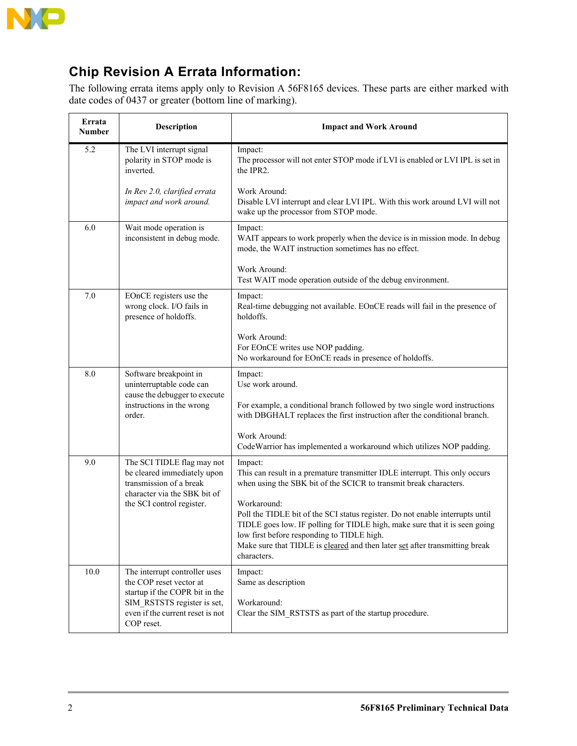

### **Chip Revision A Errata Information:**

The following errata items apply only to Revision A 56F8165 devices. These parts are either marked with date codes of 0437 or greater (bottom line of marking).

| Errata<br>Number | Description                                                                                                                                                                 | <b>Impact and Work Around</b>                                                                                                                                                                                                                                                                                          |
|------------------|-----------------------------------------------------------------------------------------------------------------------------------------------------------------------------|------------------------------------------------------------------------------------------------------------------------------------------------------------------------------------------------------------------------------------------------------------------------------------------------------------------------|
| 5.2              | The LVI interrupt signal<br>polarity in STOP mode is<br>inverted.                                                                                                           | Impact:<br>The processor will not enter STOP mode if LVI is enabled or LVI IPL is set in<br>the IPR2.                                                                                                                                                                                                                  |
|                  | In Rev 2.0, clarified errata<br>impact and work around.                                                                                                                     | Work Around:<br>Disable LVI interrupt and clear LVI IPL. With this work around LVI will not<br>wake up the processor from STOP mode.                                                                                                                                                                                   |
| 6.0              | Wait mode operation is<br>inconsistent in debug mode.                                                                                                                       | Impact:<br>WAIT appears to work properly when the device is in mission mode. In debug<br>mode, the WAIT instruction sometimes has no effect.                                                                                                                                                                           |
|                  |                                                                                                                                                                             | Work Around:<br>Test WAIT mode operation outside of the debug environment.                                                                                                                                                                                                                                             |
| 7.0              | EOnCE registers use the<br>wrong clock. I/O fails in<br>presence of holdoffs.                                                                                               | Impact:<br>Real-time debugging not available. EOnCE reads will fail in the presence of<br>holdoffs.                                                                                                                                                                                                                    |
|                  |                                                                                                                                                                             | Work Around:<br>For EOnCE writes use NOP padding.<br>No workaround for EOnCE reads in presence of holdoffs.                                                                                                                                                                                                            |
| 8.0              | Software breakpoint in<br>uninterruptable code can<br>cause the debugger to execute                                                                                         | Impact:<br>Use work around.                                                                                                                                                                                                                                                                                            |
|                  | instructions in the wrong<br>order.                                                                                                                                         | For example, a conditional branch followed by two single word instructions<br>with DBGHALT replaces the first instruction after the conditional branch.                                                                                                                                                                |
|                  |                                                                                                                                                                             | Work Around:<br>CodeWarrior has implemented a workaround which utilizes NOP padding.                                                                                                                                                                                                                                   |
| 9.0              | The SCI TIDLE flag may not<br>be cleared immediately upon<br>transmission of a break<br>character via the SBK bit of<br>the SCI control register.                           | Impact:<br>This can result in a premature transmitter IDLE interrupt. This only occurs<br>when using the SBK bit of the SCICR to transmit break characters.                                                                                                                                                            |
|                  |                                                                                                                                                                             | Workaround:<br>Poll the TIDLE bit of the SCI status register. Do not enable interrupts until<br>TIDLE goes low. IF polling for TIDLE high, make sure that it is seen going<br>low first before responding to TIDLE high.<br>Make sure that TIDLE is cleared and then later set after transmitting break<br>characters. |
| 10.0             | The interrupt controller uses<br>the COP reset vector at<br>startup if the COPR bit in the<br>SIM RSTSTS register is set,<br>even if the current reset is not<br>COP reset. | Impact:<br>Same as description<br>Workaround:<br>Clear the SIM RSTSTS as part of the startup procedure.                                                                                                                                                                                                                |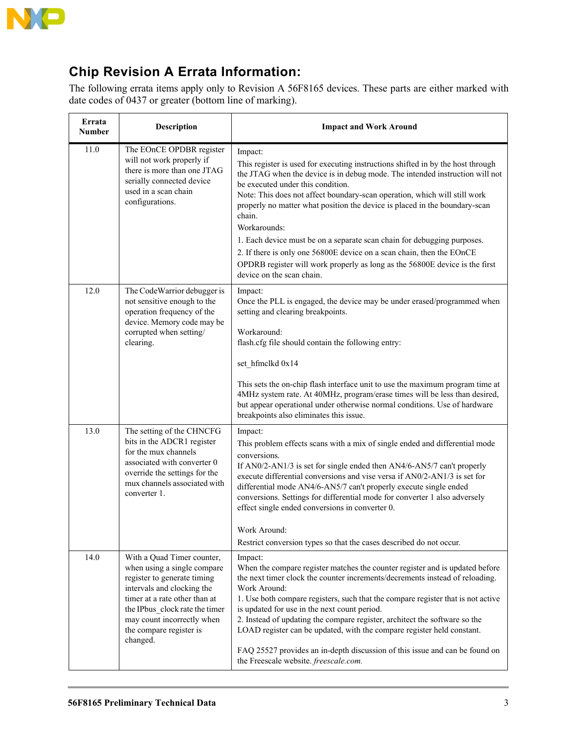

### **Chip Revision A Errata Information:**

The following errata items apply only to Revision A 56F8165 devices. These parts are either marked with date codes of 0437 or greater (bottom line of marking).

| Errata<br><b>Number</b> | Description                                                                                                                                                                                                                                                    | <b>Impact and Work Around</b>                                                                                                                                                                                                                                                                                                                                                                                                                                                                                                                                                                                                                                        |
|-------------------------|----------------------------------------------------------------------------------------------------------------------------------------------------------------------------------------------------------------------------------------------------------------|----------------------------------------------------------------------------------------------------------------------------------------------------------------------------------------------------------------------------------------------------------------------------------------------------------------------------------------------------------------------------------------------------------------------------------------------------------------------------------------------------------------------------------------------------------------------------------------------------------------------------------------------------------------------|
| 11.0                    | The EOnCE OPDBR register<br>will not work properly if<br>there is more than one JTAG<br>serially connected device<br>used in a scan chain<br>configurations.                                                                                                   | Impact:<br>This register is used for executing instructions shifted in by the host through<br>the JTAG when the device is in debug mode. The intended instruction will not<br>be executed under this condition.<br>Note: This does not affect boundary-scan operation, which will still work<br>properly no matter what position the device is placed in the boundary-scan<br>chain.<br>Workarounds:<br>1. Each device must be on a separate scan chain for debugging purposes.<br>2. If there is only one 56800E device on a scan chain, then the EOnCE<br>OPDRB register will work properly as long as the 56800E device is the first<br>device on the scan chain. |
| 12.0                    | The CodeWarrior debugger is<br>not sensitive enough to the<br>operation frequency of the<br>device. Memory code may be<br>corrupted when setting/<br>clearing.                                                                                                 | Impact:<br>Once the PLL is engaged, the device may be under erased/programmed when<br>setting and clearing breakpoints.<br>Workaround:<br>flash.cfg file should contain the following entry:<br>set_hfmclkd 0x14<br>This sets the on-chip flash interface unit to use the maximum program time at<br>4MHz system rate. At 40MHz, program/erase times will be less than desired,<br>but appear operational under otherwise normal conditions. Use of hardware<br>breakpoints also eliminates this issue.                                                                                                                                                              |
| 13.0                    | The setting of the CHNCFG<br>bits in the ADCR1 register<br>for the mux channels<br>associated with converter 0<br>override the settings for the<br>mux channels associated with<br>converter 1.                                                                | Impact:<br>This problem effects scans with a mix of single ended and differential mode<br>conversions.<br>If AN0/2-AN1/3 is set for single ended then AN4/6-AN5/7 can't properly<br>execute differential conversions and vise versa if AN0/2-AN1/3 is set for<br>differential mode AN4/6-AN5/7 can't properly execute single ended<br>conversions. Settings for differential mode for converter 1 also adversely<br>effect single ended conversions in converter 0.<br>Work Around:<br>Restrict conversion types so that the cases described do not occur.                                                                                                           |
| 14.0                    | With a Quad Timer counter,<br>when using a single compare<br>register to generate timing<br>intervals and clocking the<br>timer at a rate other than at<br>the IPbus clock rate the timer<br>may count incorrectly when<br>the compare register is<br>changed. | Impact:<br>When the compare register matches the counter register and is updated before<br>the next timer clock the counter increments/decrements instead of reloading.<br>Work Around:<br>1. Use both compare registers, such that the compare register that is not active<br>is updated for use in the next count period.<br>2. Instead of updating the compare register, architect the software so the<br>LOAD register can be updated, with the compare register held constant.<br>FAQ 25527 provides an in-depth discussion of this issue and can be found on<br>the Freescale website. freescale.com.                                                          |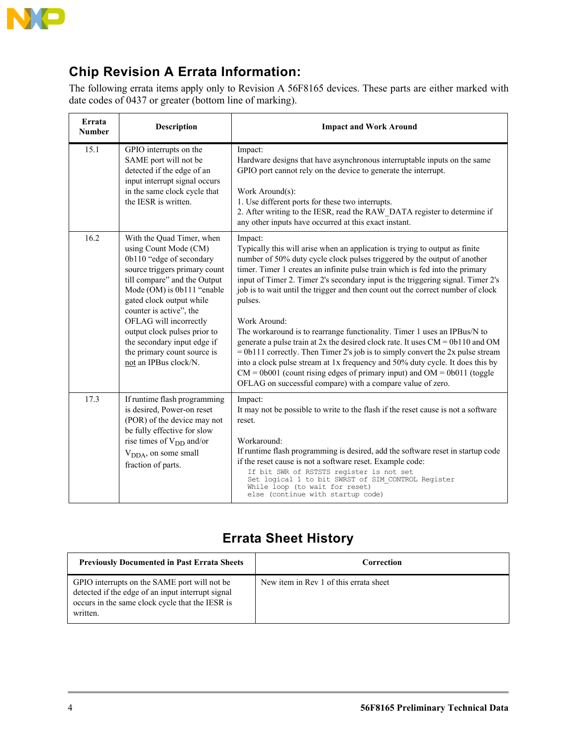

### **Chip Revision A Errata Information:**

The following errata items apply only to Revision A 56F8165 devices. These parts are either marked with date codes of 0437 or greater (bottom line of marking).

| Errata<br><b>Number</b> | <b>Description</b>                                                                                                                                                                                                                                                                                                                                                                    | <b>Impact and Work Around</b>                                                                                                                                                                                                                                                                                                                                                                                                                                                                                                                                                                                                                                                                                                                                                                                                                                                                                                           |
|-------------------------|---------------------------------------------------------------------------------------------------------------------------------------------------------------------------------------------------------------------------------------------------------------------------------------------------------------------------------------------------------------------------------------|-----------------------------------------------------------------------------------------------------------------------------------------------------------------------------------------------------------------------------------------------------------------------------------------------------------------------------------------------------------------------------------------------------------------------------------------------------------------------------------------------------------------------------------------------------------------------------------------------------------------------------------------------------------------------------------------------------------------------------------------------------------------------------------------------------------------------------------------------------------------------------------------------------------------------------------------|
| 15.1                    | GPIO interrupts on the<br>SAME port will not be<br>detected if the edge of an<br>input interrupt signal occurs<br>in the same clock cycle that<br>the IESR is written.                                                                                                                                                                                                                | Impact:<br>Hardware designs that have asynchronous interruptable inputs on the same<br>GPIO port cannot rely on the device to generate the interrupt.<br>Work Around(s):<br>1. Use different ports for these two interrupts.<br>2. After writing to the IESR, read the RAW_DATA register to determine if<br>any other inputs have occurred at this exact instant.                                                                                                                                                                                                                                                                                                                                                                                                                                                                                                                                                                       |
| 16.2                    | With the Quad Timer, when<br>using Count Mode (CM)<br>0b110 "edge of secondary<br>source triggers primary count<br>till compare" and the Output<br>Mode (OM) is 0b111 "enable<br>gated clock output while<br>counter is active", the<br>OFLAG will incorrectly<br>output clock pulses prior to<br>the secondary input edge if<br>the primary count source is<br>not an IPBus clock/N. | Impact:<br>Typically this will arise when an application is trying to output as finite<br>number of 50% duty cycle clock pulses triggered by the output of another<br>timer. Timer 1 creates an infinite pulse train which is fed into the primary<br>input of Timer 2. Timer 2's secondary input is the triggering signal. Timer 2's<br>job is to wait until the trigger and then count out the correct number of clock<br>pulses.<br>Work Around:<br>The workaround is to rearrange functionality. Timer 1 uses an IPBus/N to<br>generate a pulse train at $2x$ the desired clock rate. It uses $CM = 0b110$ and OM<br>$= 0b111$ correctly. Then Timer 2's job is to simply convert the 2x pulse stream<br>into a clock pulse stream at 1x frequency and 50% duty cycle. It does this by<br>$CM = 0b001$ (count rising edges of primary input) and $OM = 0b011$ (toggle<br>OFLAG on successful compare) with a compare value of zero. |
| 17.3                    | If runtime flash programming<br>is desired, Power-on reset<br>(POR) of the device may not<br>be fully effective for slow<br>rise times of $V_{DD}$ and/or<br>V <sub>DDA</sub> , on some small<br>fraction of parts.                                                                                                                                                                   | Impact:<br>It may not be possible to write to the flash if the reset cause is not a software<br>reset.<br>Workaround:<br>If runtime flash programming is desired, add the software reset in startup code<br>if the reset cause is not a software reset. Example code:<br>If bit SWR of RSTSTS register is not set<br>Set logical 1 to bit SWRST of SIM CONTROL Register<br>While loop (to wait for reset)<br>else (continue with startup code)                                                                                                                                                                                                                                                                                                                                                                                                                                                                                          |

### **Errata Sheet History**

| <b>Previously Documented in Past Errata Sheets</b>                                                                                                               | Correction                             |
|------------------------------------------------------------------------------------------------------------------------------------------------------------------|----------------------------------------|
| GPIO interrupts on the SAME port will not be<br>detected if the edge of an input interrupt signal<br>occurs in the same clock cycle that the IESR is<br>written. | New item in Rev 1 of this errata sheet |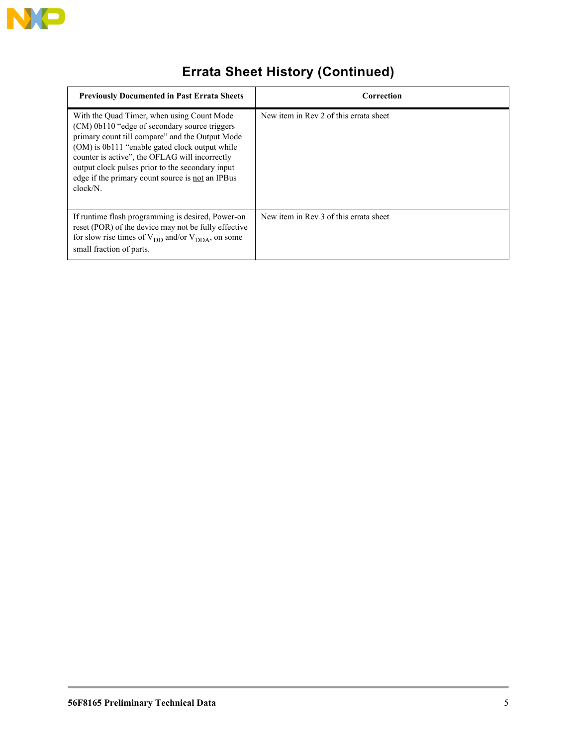

## **Errata Sheet History (Continued)**

| <b>Previously Documented in Past Errata Sheets</b>                                                                                                                                                                                                                                                                                                                     | Correction                             |
|------------------------------------------------------------------------------------------------------------------------------------------------------------------------------------------------------------------------------------------------------------------------------------------------------------------------------------------------------------------------|----------------------------------------|
| With the Quad Timer, when using Count Mode<br>(CM) 0b110 "edge of secondary source triggers<br>primary count till compare" and the Output Mode<br>(OM) is 0b111 "enable gated clock output while<br>counter is active", the OFLAG will incorrectly<br>output clock pulses prior to the secondary input<br>edge if the primary count source is not an IPBus<br>clock/N. | New item in Rev 2 of this errata sheet |
| If runtime flash programming is desired, Power-on<br>reset (POR) of the device may not be fully effective<br>for slow rise times of $V_{DD}$ and/or $V_{DDA}$ , on some<br>small fraction of parts.                                                                                                                                                                    | New item in Rev 3 of this errata sheet |